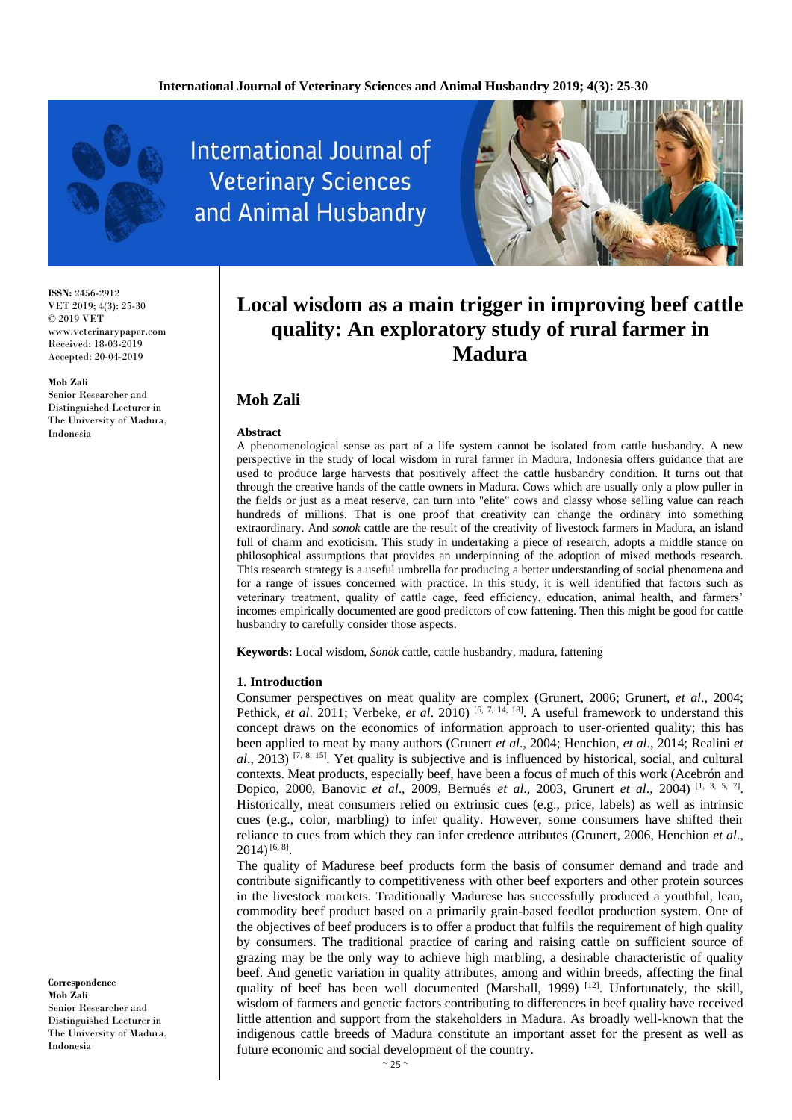

**International Journal of Veterinary Sciences** and Animal Husbandry



**ISSN:** 2456-2912 VET 2019; 4(3): 25-30 © 2019 VET www.veterinarypaper.com Received: 18-03-2019 Accepted: 20-04-2019

#### **Moh Zali**

Senior Researcher and Distinguished Lecturer in The University of Madura, Indonesia

**Correspondence Moh Zali** Senior Researcher and Distinguished Lecturer in The University of Madura, Indonesia

# **Local wisdom as a main trigger in improving beef cattle quality: An exploratory study of rural farmer in Madura**

# **Moh Zali**

#### **Abstract**

A phenomenological sense as part of a life system cannot be isolated from cattle husbandry. A new perspective in the study of local wisdom in rural farmer in Madura, Indonesia offers guidance that are used to produce large harvests that positively affect the cattle husbandry condition. It turns out that through the creative hands of the cattle owners in Madura. Cows which are usually only a plow puller in the fields or just as a meat reserve, can turn into "elite" cows and classy whose selling value can reach hundreds of millions. That is one proof that creativity can change the ordinary into something extraordinary. And *sonok* cattle are the result of the creativity of livestock farmers in Madura, an island full of charm and exoticism. This study in undertaking a piece of research, adopts a middle stance on philosophical assumptions that provides an underpinning of the adoption of mixed methods research. This research strategy is a useful umbrella for producing a better understanding of social phenomena and for a range of issues concerned with practice. In this study, it is well identified that factors such as veterinary treatment, quality of cattle cage, feed efficiency, education, animal health, and farmers' incomes empirically documented are good predictors of cow fattening. Then this might be good for cattle husbandry to carefully consider those aspects.

**Keywords:** Local wisdom, *Sonok* cattle, cattle husbandry, madura, fattening

#### **1. Introduction**

Consumer perspectives on meat quality are complex (Grunert, 2006; Grunert, *et al*., 2004; Pethick, *et al.* 2011; Verbeke, *et al.* 2010) <sup>[6, 7, 14, 18]. A useful framework to understand this</sup> concept draws on the economics of information approach to user-oriented quality; this has been applied to meat by many authors (Grunert *et al*., 2004; Henchion, *et al*., 2014; Realini *et al.*, 2013) <sup>[7, 8, 15]. Yet quality is subjective and is influenced by historical, social, and cultural</sup> contexts. Meat products, especially beef, have been a focus of much of this work (Acebrón and Dopico, 2000, Banovic *et al*., 2009, Bernués *et al*., 2003, Grunert *et al*., 2004) [1, 3, 5, 7] . Historically, meat consumers relied on extrinsic cues (e.g., price, labels) as well as intrinsic cues (e.g., color, marbling) to infer quality. However, some consumers have shifted their reliance to cues from which they can infer credence attributes (Grunert, 2006, Henchion *et al*.,  $2014$ )<sup>[6, 8]</sup>.

The quality of Madurese beef products form the basis of consumer demand and trade and contribute significantly to competitiveness with other beef exporters and other protein sources in the livestock markets. Traditionally Madurese has successfully produced a youthful, lean, commodity beef product based on a primarily grain-based feedlot production system. One of the objectives of beef producers is to offer a product that fulfils the requirement of high quality by consumers. The traditional practice of caring and raising cattle on sufficient source of grazing may be the only way to achieve high marbling, a desirable characteristic of quality beef. And genetic variation in quality attributes, among and within breeds, affecting the final quality of beef has been well documented (Marshall, 1999)  $[12]$ . Unfortunately, the skill, wisdom of farmers and genetic factors contributing to differences in beef quality have received little attention and support from the stakeholders in Madura. As broadly well-known that the indigenous cattle breeds of Madura constitute an important asset for the present as well as future economic and social development of the country.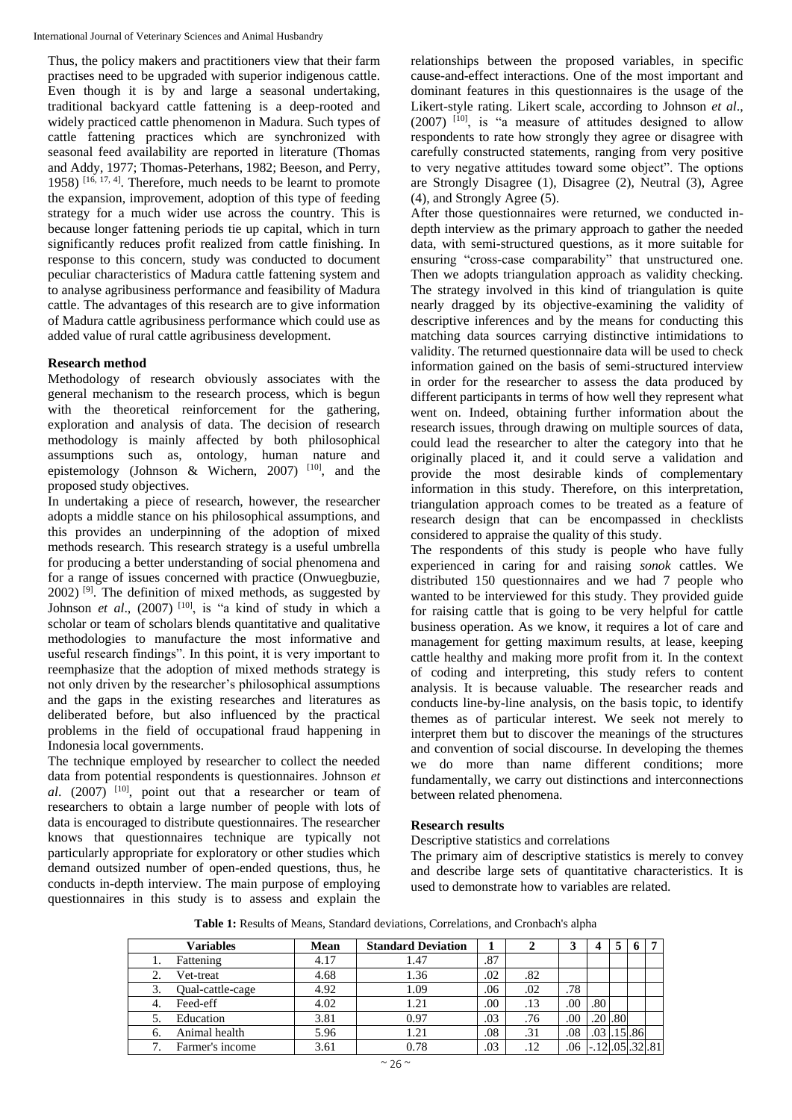Thus, the policy makers and practitioners view that their farm practises need to be upgraded with superior indigenous cattle. Even though it is by and large a seasonal undertaking, traditional backyard cattle fattening is a deep-rooted and widely practiced cattle phenomenon in Madura. Such types of cattle fattening practices which are synchronized with seasonal feed availability are reported in literature (Thomas and Addy, 1977; Thomas-Peterhans, 1982; Beeson, and Perry, 1958) [16, 17, 4] . Therefore, much needs to be learnt to promote the expansion, improvement, adoption of this type of feeding strategy for a much wider use across the country. This is because longer fattening periods tie up capital, which in turn significantly reduces profit realized from cattle finishing. In response to this concern, study was conducted to document peculiar characteristics of Madura cattle fattening system and to analyse agribusiness performance and feasibility of Madura cattle. The advantages of this research are to give information of Madura cattle agribusiness performance which could use as added value of rural cattle agribusiness development.

## **Research method**

Methodology of research obviously associates with the general mechanism to the research process, which is begun with the theoretical reinforcement for the gathering, exploration and analysis of data. The decision of research methodology is mainly affected by both philosophical assumptions such as, ontology, human nature and epistemology (Johnson & Wichern, 2007)<sup>[10]</sup>, and the proposed study objectives.

In undertaking a piece of research, however, the researcher adopts a middle stance on his philosophical assumptions, and this provides an underpinning of the adoption of mixed methods research. This research strategy is a useful umbrella for producing a better understanding of social phenomena and for a range of issues concerned with practice (Onwuegbuzie,  $2002$ )<sup>[9]</sup>. The definition of mixed methods, as suggested by Johnson *et al.*, (2007)<sup>[10]</sup>, is "a kind of study in which a scholar or team of scholars blends quantitative and qualitative methodologies to manufacture the most informative and useful research findings". In this point, it is very important to reemphasize that the adoption of mixed methods strategy is not only driven by the researcher's philosophical assumptions and the gaps in the existing researches and literatures as deliberated before, but also influenced by the practical problems in the field of occupational fraud happening in Indonesia local governments.

The technique employed by researcher to collect the needed data from potential respondents is questionnaires. Johnson *et al*. (2007) [10] , point out that a researcher or team of researchers to obtain a large number of people with lots of data is encouraged to distribute questionnaires. The researcher knows that questionnaires technique are typically not particularly appropriate for exploratory or other studies which demand outsized number of open-ended questions, thus, he conducts in-depth interview. The main purpose of employing questionnaires in this study is to assess and explain the relationships between the proposed variables, in specific cause-and-effect interactions. One of the most important and dominant features in this questionnaires is the usage of the Likert-style rating. Likert scale, according to Johnson *et al*., (2007) [10] , is "a measure of attitudes designed to allow respondents to rate how strongly they agree or disagree with carefully constructed statements, ranging from very positive to very negative attitudes toward some object". The options are Strongly Disagree (1), Disagree (2), Neutral (3), Agree (4), and Strongly Agree (5).

After those questionnaires were returned, we conducted indepth interview as the primary approach to gather the needed data, with semi-structured questions, as it more suitable for ensuring "cross-case comparability" that unstructured one. Then we adopts triangulation approach as validity checking. The strategy involved in this kind of triangulation is quite nearly dragged by its objective-examining the validity of descriptive inferences and by the means for conducting this matching data sources carrying distinctive intimidations to validity. The returned questionnaire data will be used to check information gained on the basis of semi-structured interview in order for the researcher to assess the data produced by different participants in terms of how well they represent what went on. Indeed, obtaining further information about the research issues, through drawing on multiple sources of data, could lead the researcher to alter the category into that he originally placed it, and it could serve a validation and provide the most desirable kinds of complementary information in this study. Therefore, on this interpretation, triangulation approach comes to be treated as a feature of research design that can be encompassed in checklists considered to appraise the quality of this study.

The respondents of this study is people who have fully experienced in caring for and raising *sonok* cattles. We distributed 150 questionnaires and we had 7 people who wanted to be interviewed for this study. They provided guide for raising cattle that is going to be very helpful for cattle business operation. As we know, it requires a lot of care and management for getting maximum results, at lease, keeping cattle healthy and making more profit from it. In the context of coding and interpreting, this study refers to content analysis. It is because valuable. The researcher reads and conducts line-by-line analysis, on the basis topic, to identify themes as of particular interest. We seek not merely to interpret them but to discover the meanings of the structures and convention of social discourse. In developing the themes we do more than name different conditions; more fundamentally, we carry out distinctions and interconnections between related phenomena.

## **Research results**

Descriptive statistics and correlations

The primary aim of descriptive statistics is merely to convey and describe large sets of quantitative characteristics. It is used to demonstrate how to variables are related.

**Table 1:** Results of Means, Standard deviations, Correlations, and Cronbach's alpha

| <b>Variables</b> | <b>Mean</b> | <b>Standard Deviation</b> |     |     |     | 4                        | 5           | 6 |     |
|------------------|-------------|---------------------------|-----|-----|-----|--------------------------|-------------|---|-----|
| Fattening        | 4.17        | 1.47                      | .87 |     |     |                          |             |   |     |
| Vet-treat        | 4.68        | 1.36                      | .02 | .82 |     |                          |             |   |     |
| Qual-cattle-cage | 4.92        | 1.09                      | .06 | .02 | .78 |                          |             |   |     |
| Feed-eff         | 4.02        | 1.21                      | .00 | .13 | .00 | .80                      |             |   |     |
| Education        | 3.81        | 0.97                      | .03 | .76 | .00 |                          | $.20$ $.80$ |   |     |
| Animal health    | 5.96        | 1.21                      | .08 | .31 | .08 | $.03$ $.15$ $.86$        |             |   |     |
| Farmer's income  | 3.61        | 0.78                      | .03 | .12 | 06  | $-.12$ $.05$ $.32$ $.32$ |             |   | .81 |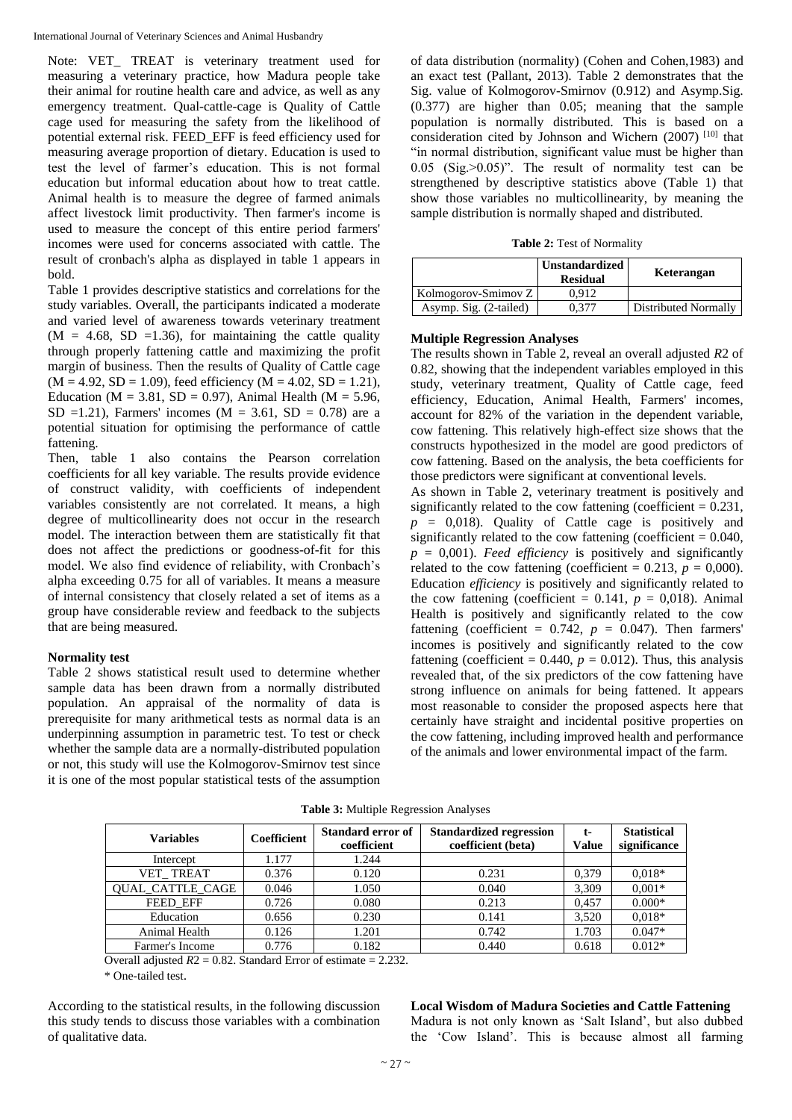Note: VET\_ TREAT is veterinary treatment used for measuring a veterinary practice, how Madura people take their animal for routine health care and advice, as well as any emergency treatment. Qual-cattle-cage is Quality of Cattle cage used for measuring the safety from the likelihood of potential external risk. FEED\_EFF is feed efficiency used for measuring average proportion of dietary. Education is used to test the level of farmer's education. This is not formal education but informal education about how to treat cattle. Animal health is to measure the degree of farmed animals affect livestock limit productivity. Then farmer's income is used to measure the concept of this entire period farmers' incomes were used for concerns associated with cattle. The result of cronbach's alpha as displayed in table 1 appears in bold.

Table 1 provides descriptive statistics and correlations for the study variables. Overall, the participants indicated a moderate and varied level of awareness towards veterinary treatment  $(M = 4.68, SD = 1.36)$ , for maintaining the cattle quality through properly fattening cattle and maximizing the profit margin of business. Then the results of Quality of Cattle cage  $(M = 4.92, SD = 1.09)$ , feed efficiency  $(M = 4.02, SD = 1.21)$ , Education ( $M = 3.81$ ,  $SD = 0.97$ ), Animal Health ( $M = 5.96$ , SD =1.21), Farmers' incomes ( $M = 3.61$ , SD = 0.78) are a potential situation for optimising the performance of cattle fattening.

Then, table 1 also contains the Pearson correlation coefficients for all key variable. The results provide evidence of construct validity, with coefficients of independent variables consistently are not correlated. It means, a high degree of multicollinearity does not occur in the research model. The interaction between them are statistically fit that does not affect the predictions or goodness-of-fit for this model. We also find evidence of reliability, with Cronbach's alpha exceeding 0.75 for all of variables. It means a measure of internal consistency that closely related a set of items as a group have considerable review and feedback to the subjects that are being measured.

#### **Normality test**

Table 2 shows statistical result used to determine whether sample data has been drawn from a normally distributed population. An appraisal of the normality of data is prerequisite for many arithmetical tests as normal data is an underpinning assumption in parametric test. To test or check whether the sample data are a normally-distributed population or not, this study will use the Kolmogorov-Smirnov test since it is one of the most popular statistical tests of the assumption of data distribution (normality) (Cohen and Cohen,1983) and an exact test (Pallant, 2013). Table 2 demonstrates that the Sig. value of Kolmogorov-Smirnov (0.912) and Asymp.Sig. (0.377) are higher than 0.05; meaning that the sample population is normally distributed. This is based on a consideration cited by Johnson and Wichern  $(2007)^{[10]}$  that "in normal distribution, significant value must be higher than 0.05 (Sig.>0.05)". The result of normality test can be strengthened by descriptive statistics above (Table 1) that show those variables no multicollinearity, by meaning the sample distribution is normally shaped and distributed.

**Table 2:** Test of Normality

|                        | <b>Unstandardized</b><br><b>Residual</b> | Keterangan           |
|------------------------|------------------------------------------|----------------------|
| Kolmogorov-Smimov Z    | 0.912                                    |                      |
| Asymp. Sig. (2-tailed) |                                          | Distributed Normally |

#### **Multiple Regression Analyses**

The results shown in Table 2, reveal an overall adjusted *R*2 of 0.82, showing that the independent variables employed in this study, veterinary treatment, Quality of Cattle cage, feed efficiency, Education, Animal Health, Farmers' incomes*,* account for 82% of the variation in the dependent variable, cow fattening. This relatively high-effect size shows that the constructs hypothesized in the model are good predictors of cow fattening. Based on the analysis, the beta coefficients for those predictors were significant at conventional levels.

As shown in Table 2, veterinary treatment is positively and significantly related to the cow fattening (coefficient  $= 0.231$ ,  $p = 0.018$ . Quality of Cattle cage is positively and significantly related to the cow fattening (coefficient  $= 0.040$ ,  $p = 0.001$ ). *Feed efficiency* is positively and significantly related to the cow fattening (coefficient =  $0.213$ ,  $p = 0,000$ ). Education *efficiency* is positively and significantly related to the cow fattening (coefficient =  $0.141$ ,  $p = 0.018$ ). Animal Health is positively and significantly related to the cow fattening (coefficient =  $0.742$ ,  $p = 0.047$ ). Then farmers' incomes is positively and significantly related to the cow fattening (coefficient =  $0.440$ ,  $p = 0.012$ ). Thus, this analysis revealed that, of the six predictors of the cow fattening have strong influence on animals for being fattened. It appears most reasonable to consider the proposed aspects here that certainly have straight and incidental positive properties on the cow fattening, including improved health and performance of the animals and lower environmental impact of the farm.

| <b>Variables</b>        | Coefficient | <b>Standard error of</b><br>coefficient | <b>Standardized regression</b><br>coefficient (beta) | $t-$<br>Value | <b>Statistical</b><br>significance |
|-------------------------|-------------|-----------------------------------------|------------------------------------------------------|---------------|------------------------------------|
| Intercept               | 1.177       | 1.244                                   |                                                      |               |                                    |
| VET TREAT               | 0.376       | 0.120                                   | 0.231                                                | 0.379         | $0.018*$                           |
| <b>OUAL CATTLE CAGE</b> | 0.046       | 1.050                                   | 0.040                                                | 3,309         | $0.001*$                           |
| <b>FEED EFF</b>         | 0.726       | 0.080                                   | 0.213                                                | 0.457         | $0.000*$                           |
| Education               | 0.656       | 0.230                                   | 0.141                                                | 3,520         | $0.018*$                           |
| Animal Health           | 0.126       | 1.201                                   | 0.742                                                | 1.703         | $0.047*$                           |
| Farmer's Income         | 0.776       | 0.182                                   | 0.440                                                | 0.618         | $0.012*$                           |

**Table 3:** Multiple Regression Analyses

Overall adjusted  $R2 = 0.82$ . Standard Error of estimate  $= 2.232$ .

\* One-tailed test.

According to the statistical results, in the following discussion this study tends to discuss those variables with a combination of qualitative data.

**Local Wisdom of Madura Societies and Cattle Fattening**  Madura is not only known as 'Salt Island', but also dubbed the 'Cow Island'. This is because almost all farming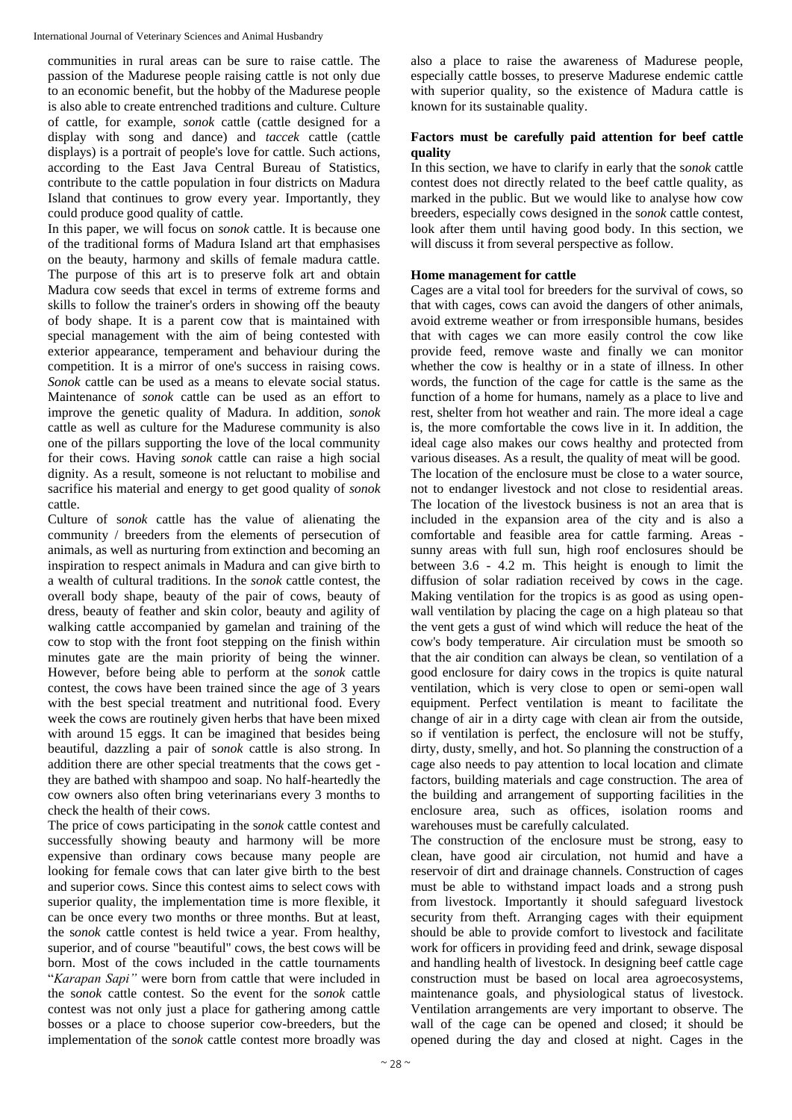communities in rural areas can be sure to raise cattle. The passion of the Madurese people raising cattle is not only due to an economic benefit, but the hobby of the Madurese people is also able to create entrenched traditions and culture. Culture of cattle, for example, *sonok* cattle (cattle designed for a display with song and dance) and *taccek* cattle (cattle displays) is a portrait of people's love for cattle. Such actions, according to the East Java Central Bureau of Statistics, contribute to the cattle population in four districts on Madura Island that continues to grow every year. Importantly, they could produce good quality of cattle.

In this paper, we will focus on *sonok* cattle. It is because one of the traditional forms of Madura Island art that emphasises on the beauty, harmony and skills of female madura cattle. The purpose of this art is to preserve folk art and obtain Madura cow seeds that excel in terms of extreme forms and skills to follow the trainer's orders in showing off the beauty of body shape. It is a parent cow that is maintained with special management with the aim of being contested with exterior appearance, temperament and behaviour during the competition. It is a mirror of one's success in raising cows. *Sonok* cattle can be used as a means to elevate social status. Maintenance of *sonok* cattle can be used as an effort to improve the genetic quality of Madura. In addition, *sonok* cattle as well as culture for the Madurese community is also one of the pillars supporting the love of the local community for their cows. Having *sonok* cattle can raise a high social dignity. As a result, someone is not reluctant to mobilise and sacrifice his material and energy to get good quality of *sonok* cattle.

Culture of s*onok* cattle has the value of alienating the community / breeders from the elements of persecution of animals, as well as nurturing from extinction and becoming an inspiration to respect animals in Madura and can give birth to a wealth of cultural traditions. In the *sonok* cattle contest, the overall body shape, beauty of the pair of cows, beauty of dress, beauty of feather and skin color, beauty and agility of walking cattle accompanied by gamelan and training of the cow to stop with the front foot stepping on the finish within minutes gate are the main priority of being the winner. However, before being able to perform at the *sonok* cattle contest, the cows have been trained since the age of 3 years with the best special treatment and nutritional food. Every week the cows are routinely given herbs that have been mixed with around 15 eggs. It can be imagined that besides being beautiful, dazzling a pair of s*onok* cattle is also strong. In addition there are other special treatments that the cows get they are bathed with shampoo and soap. No half-heartedly the cow owners also often bring veterinarians every 3 months to check the health of their cows.

The price of cows participating in the s*onok* cattle contest and successfully showing beauty and harmony will be more expensive than ordinary cows because many people are looking for female cows that can later give birth to the best and superior cows. Since this contest aims to select cows with superior quality, the implementation time is more flexible, it can be once every two months or three months. But at least, the s*onok* cattle contest is held twice a year. From healthy, superior, and of course "beautiful" cows, the best cows will be born. Most of the cows included in the cattle tournaments "*Karapan Sapi"* were born from cattle that were included in the s*onok* cattle contest. So the event for the s*onok* cattle contest was not only just a place for gathering among cattle bosses or a place to choose superior cow-breeders, but the implementation of the s*onok* cattle contest more broadly was

also a place to raise the awareness of Madurese people, especially cattle bosses, to preserve Madurese endemic cattle with superior quality, so the existence of Madura cattle is known for its sustainable quality.

## **Factors must be carefully paid attention for beef cattle quality**

In this section, we have to clarify in early that the s*onok* cattle contest does not directly related to the beef cattle quality, as marked in the public. But we would like to analyse how cow breeders, especially cows designed in the s*onok* cattle contest, look after them until having good body. In this section, we will discuss it from several perspective as follow.

## **Home management for cattle**

Cages are a vital tool for breeders for the survival of cows, so that with cages, cows can avoid the dangers of other animals, avoid extreme weather or from irresponsible humans, besides that with cages we can more easily control the cow like provide feed, remove waste and finally we can monitor whether the cow is healthy or in a state of illness. In other words, the function of the cage for cattle is the same as the function of a home for humans, namely as a place to live and rest, shelter from hot weather and rain. The more ideal a cage is, the more comfortable the cows live in it. In addition, the ideal cage also makes our cows healthy and protected from various diseases. As a result, the quality of meat will be good. The location of the enclosure must be close to a water source, not to endanger livestock and not close to residential areas. The location of the livestock business is not an area that is included in the expansion area of the city and is also a comfortable and feasible area for cattle farming. Areas sunny areas with full sun, high roof enclosures should be between 3.6 - 4.2 m. This height is enough to limit the diffusion of solar radiation received by cows in the cage. Making ventilation for the tropics is as good as using openwall ventilation by placing the cage on a high plateau so that the vent gets a gust of wind which will reduce the heat of the cow's body temperature. Air circulation must be smooth so that the air condition can always be clean, so ventilation of a good enclosure for dairy cows in the tropics is quite natural ventilation, which is very close to open or semi-open wall equipment. Perfect ventilation is meant to facilitate the change of air in a dirty cage with clean air from the outside, so if ventilation is perfect, the enclosure will not be stuffy, dirty, dusty, smelly, and hot. So planning the construction of a cage also needs to pay attention to local location and climate factors, building materials and cage construction. The area of the building and arrangement of supporting facilities in the enclosure area, such as offices, isolation rooms and warehouses must be carefully calculated.

The construction of the enclosure must be strong, easy to clean, have good air circulation, not humid and have a reservoir of dirt and drainage channels. Construction of cages must be able to withstand impact loads and a strong push from livestock. Importantly it should safeguard livestock security from theft. Arranging cages with their equipment should be able to provide comfort to livestock and facilitate work for officers in providing feed and drink, sewage disposal and handling health of livestock. In designing beef cattle cage construction must be based on local area agroecosystems, maintenance goals, and physiological status of livestock. Ventilation arrangements are very important to observe. The wall of the cage can be opened and closed; it should be opened during the day and closed at night. Cages in the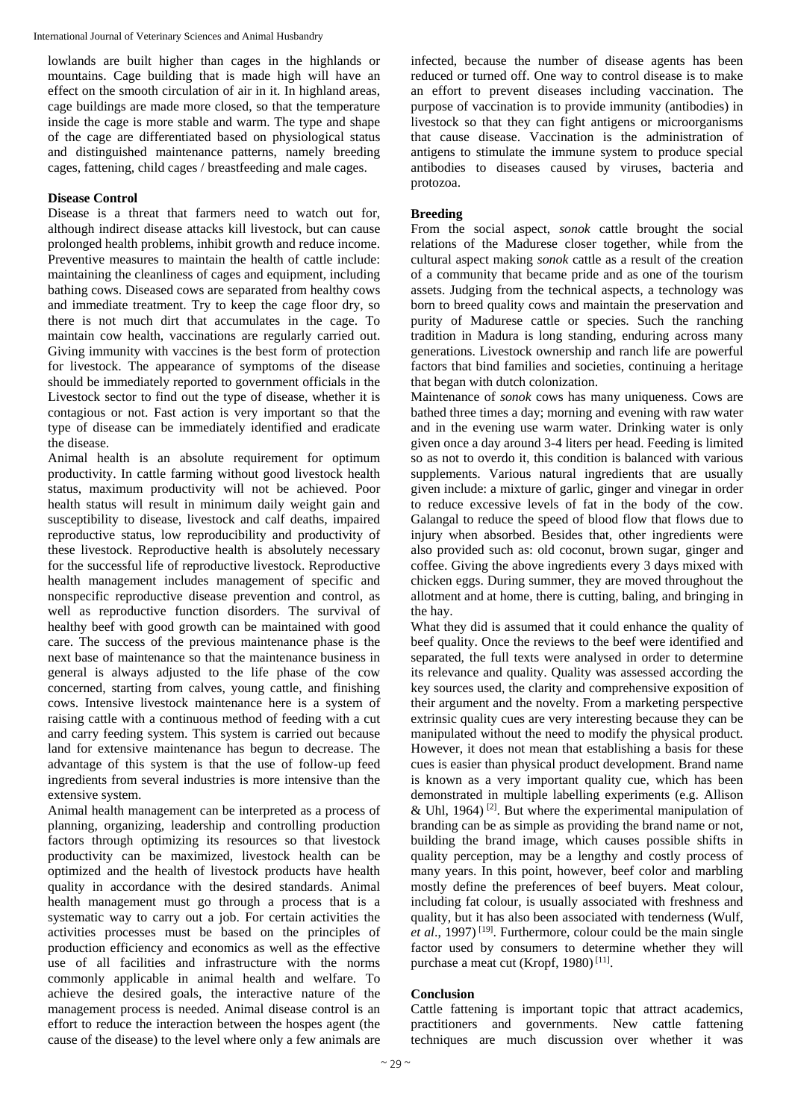lowlands are built higher than cages in the highlands or mountains. Cage building that is made high will have an effect on the smooth circulation of air in it. In highland areas, cage buildings are made more closed, so that the temperature inside the cage is more stable and warm. The type and shape of the cage are differentiated based on physiological status and distinguished maintenance patterns, namely breeding cages, fattening, child cages / breastfeeding and male cages.

## **Disease Control**

Disease is a threat that farmers need to watch out for, although indirect disease attacks kill livestock, but can cause prolonged health problems, inhibit growth and reduce income. Preventive measures to maintain the health of cattle include: maintaining the cleanliness of cages and equipment, including bathing cows. Diseased cows are separated from healthy cows and immediate treatment. Try to keep the cage floor dry, so there is not much dirt that accumulates in the cage. To maintain cow health, vaccinations are regularly carried out. Giving immunity with vaccines is the best form of protection for livestock. The appearance of symptoms of the disease should be immediately reported to government officials in the Livestock sector to find out the type of disease, whether it is contagious or not. Fast action is very important so that the type of disease can be immediately identified and eradicate the disease.

Animal health is an absolute requirement for optimum productivity. In cattle farming without good livestock health status, maximum productivity will not be achieved. Poor health status will result in minimum daily weight gain and susceptibility to disease, livestock and calf deaths, impaired reproductive status, low reproducibility and productivity of these livestock. Reproductive health is absolutely necessary for the successful life of reproductive livestock. Reproductive health management includes management of specific and nonspecific reproductive disease prevention and control, as well as reproductive function disorders. The survival of healthy beef with good growth can be maintained with good care. The success of the previous maintenance phase is the next base of maintenance so that the maintenance business in general is always adjusted to the life phase of the cow concerned, starting from calves, young cattle, and finishing cows. Intensive livestock maintenance here is a system of raising cattle with a continuous method of feeding with a cut and carry feeding system. This system is carried out because land for extensive maintenance has begun to decrease. The advantage of this system is that the use of follow-up feed ingredients from several industries is more intensive than the extensive system.

Animal health management can be interpreted as a process of planning, organizing, leadership and controlling production factors through optimizing its resources so that livestock productivity can be maximized, livestock health can be optimized and the health of livestock products have health quality in accordance with the desired standards. Animal health management must go through a process that is a systematic way to carry out a job. For certain activities the activities processes must be based on the principles of production efficiency and economics as well as the effective use of all facilities and infrastructure with the norms commonly applicable in animal health and welfare. To achieve the desired goals, the interactive nature of the management process is needed. Animal disease control is an effort to reduce the interaction between the hospes agent (the cause of the disease) to the level where only a few animals are

infected, because the number of disease agents has been reduced or turned off. One way to control disease is to make an effort to prevent diseases including vaccination. The purpose of vaccination is to provide immunity (antibodies) in livestock so that they can fight antigens or microorganisms that cause disease. Vaccination is the administration of antigens to stimulate the immune system to produce special antibodies to diseases caused by viruses, bacteria and protozoa.

## **Breeding**

From the social aspect, *sonok* cattle brought the social relations of the Madurese closer together, while from the cultural aspect making *sonok* cattle as a result of the creation of a community that became pride and as one of the tourism assets. Judging from the technical aspects, a technology was born to breed quality cows and maintain the preservation and purity of Madurese cattle or species. Such the ranching tradition in Madura is long standing, enduring across many generations. Livestock ownership and ranch life are powerful factors that bind families and societies, continuing a heritage that began with dutch colonization.

Maintenance of *sonok* cows has many uniqueness. Cows are bathed three times a day; morning and evening with raw water and in the evening use warm water. Drinking water is only given once a day around 3-4 liters per head. Feeding is limited so as not to overdo it, this condition is balanced with various supplements. Various natural ingredients that are usually given include: a mixture of garlic, ginger and vinegar in order to reduce excessive levels of fat in the body of the cow. Galangal to reduce the speed of blood flow that flows due to injury when absorbed. Besides that, other ingredients were also provided such as: old coconut, brown sugar, ginger and coffee. Giving the above ingredients every 3 days mixed with chicken eggs. During summer, they are moved throughout the allotment and at home, there is cutting, baling, and bringing in the hay.

What they did is assumed that it could enhance the quality of beef quality. Once the reviews to the beef were identified and separated, the full texts were analysed in order to determine its relevance and quality. Quality was assessed according the key sources used, the clarity and comprehensive exposition of their argument and the novelty. From a marketing perspective extrinsic quality cues are very interesting because they can be manipulated without the need to modify the physical product. However, it does not mean that establishing a basis for these cues is easier than physical product development. Brand name is known as a very important quality cue, which has been demonstrated in multiple labelling experiments (e.g. Allison & Uhl, 1964)<sup>[2]</sup>. But where the experimental manipulation of branding can be as simple as providing the brand name or not, building the brand image, which causes possible shifts in quality perception, may be a lengthy and costly process of many years. In this point, however, beef color and marbling mostly define the preferences of beef buyers. Meat colour, including fat colour, is usually associated with freshness and quality, but it has also been associated with tenderness (Wulf, et al., 1997)<sup>[19]</sup>. Furthermore, colour could be the main single factor used by consumers to determine whether they will purchase a meat cut (Kropf, 1980)<sup>[11]</sup>.

## **Conclusion**

Cattle fattening is important topic that attract academics, practitioners and governments. New cattle fattening techniques are much discussion over whether it was